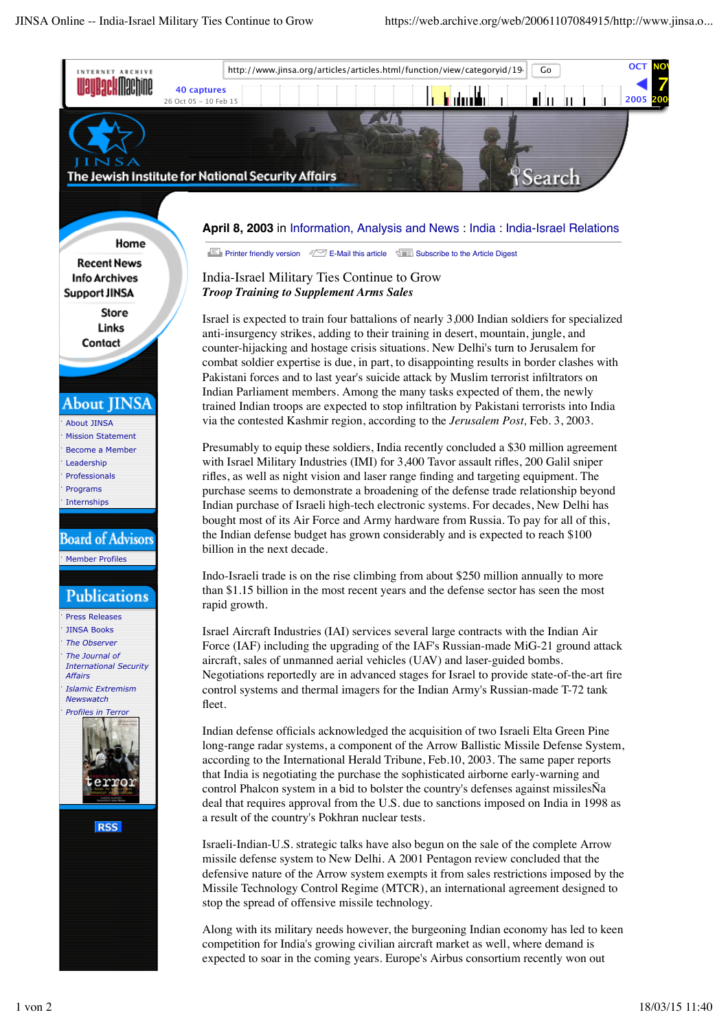